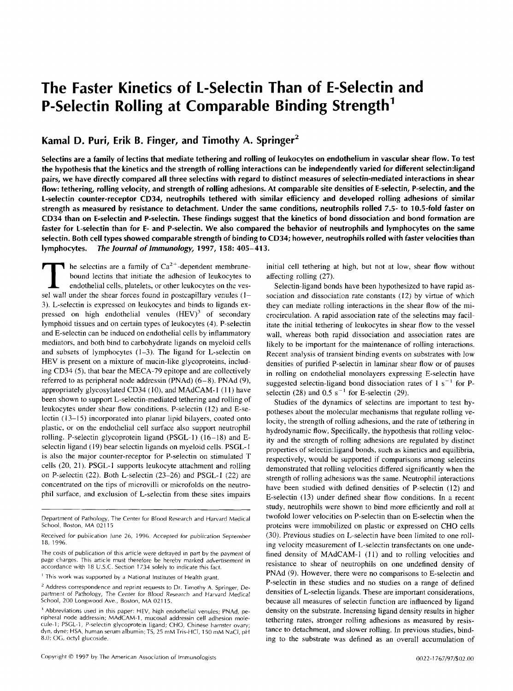# **The Faster Kinetics of 1-Selectin Than of E-Selectin and P-Selectin Rolling at Comparable Binding Strength'**

## **Kamal D. Puri, Erik B. Finger, and Timothy A. Springer2**

**Selectins are a family of lectins that mediate tethering and rolling of leukocytes on endothelium in vascular shear flow. To test**  the hypothesis that the kinetics and the strength of rolling interactions can be independently varied for different selectin:ligand **pairs, we have directly compared afl three selectins with regard to distinct measures of selectin-mediated interactions in shear flow: tethering, rolling velocity, and strength of rolling adhesions. At comparable site densities of E-selectin, P-selectin, and the 1-selectin counter-receptor CD34, neutrophils tethered with similar efficiency and developed rolling adhesions of similar strength as measured by resistance to detachment. Under the same conditions, neutrophils rolled 7.5- to 10.5-fold faster on CD34 than on E-selectin and P-selectin. These findings suggest that the kinetics of bond dissociation and bond formation are faster for 1-selectin than for E- and P-selectin. We also compared the behavior of neutrophils and lymphocytes on the same selectin. Both cell types showed comparable strength of binding to CD34; however, neutrophils rolled with faster velocities than**  lymphocytes. *The Journal of Immunology,* 1997, 158: 405-413.

The selectins are a family of  $Ca^{2+}$ -dependent membranebound lectins that initiate the adhesion of leukocytes to endothelial cells, platelets, or other leukocytes on the vessel wall under the shear forces found in postcapillary venules **(I-**3). L-selectin is expressed on leukocytes and binds to ligands expressed on high endothelial venules  $(HEV)^3$  of secondary lymphoid tissues and on certain types of leukocytes (4). P-selectin and E-selectin can be induced on endothelial cells by inflammatory mediators, and both bind to carbohydrate ligands on myeloid cells and subsets of lymphocytes (1-3). The ligand for L-selectin on HEV is present on a mixture of mucin-like glycoproteins, including CD34 *(5),* that bear the MECA-79 epitope and are collectively referred to as peripheral node addressin (PNAd) (6-8). PNAd (9), appropriately glycosylated CD34 (10), and MAdCAM-1 (11) have been shown to support L-selectin-mediated tethering and rolling of leukocytes under shear flow conditions. P-selectin (12) and E-selectin (13-15) incorporated into planar lipid bilayers, coated onto plastic, or on the endothelial cell surface also support neutrophil rolling. P-selectin glycoprotein ligand (PSGL-I) (16-18) and Eselectin ligand (19) bear selectin ligands on myeloid cells. PSGL-I is also the major counter-receptor for P-selectin on stimulated T cells (20, 21). PSGL-I supports leukocyte attachment and rolling on P-selectin (22). Both L-selectin (23-26) and PSGL-I (22) are concentrated on the tips of microvilli or microfolds on the neutrophil surface, and exclusion of L-selectin from these sites impairs

initial cell tethering at high, but not at low, shear flow without affecting rolling (27).

Selectin-ligand bonds have been hypothesized to have rapid association and dissociation rate constants (12) by virtue of which they can mediate rolling interactions in the shear flow of the microcirculation. A rapid association rate of the selectins may facilitate the initial tethering of leukocytes in shear flow to the vessel wall, whereas both rapid dissociation and association rates are likely to be important for the maintenance of rolling interactions. Recent analysis of transient binding events on substrates with low densities of purified P-selectin in laminar shear flow or of pauses in rolling on endothelial monolayers expressing E-selectin have suggested selectin-ligand bond dissociation rates of  $1 \text{ s}^{-1}$  for **P**selectin (28) and  $0.5 s^{-1}$  for E-selectin (29).

Studies of the dynamics of selectins are important to test hypotheses about the molecular mechanisms that regulate rolling velocity, the strength of rolling adhesions, and the rate of tethering in hydrodynamic flow. Specifically, the hypothesis that rolling velocity and the strength of rolling adhesions are regulated by distinct properties of selectin:ligand bonds, such as kinetics and equilibria, respectively, would be supported if comparisons among selectins demonstrated that rolling velocities differed significantly when the strength of rolling adhesions was the same. Neutrophil interactions have been studied with defined densities of P-selectin (12) and E-selectin (13) under defined shear flow conditions. In a recent study, neutrophils were shown to bind more efficiently and roll at twofold lower velocities on P-selectin than on E-selectin when the proteins were immobilized on plastic or expressed on CHO cells (30). Previous studies on L-selectin have been limited to one rolling velocity measurement of L-selectin transfectants on one undefined density of MAdCAM-1 (11) and to rolling velocities and resistance to shear of neutrophils on one undefined density of PNAd (9). However, there were no comparisons to E-selectin and P-selectin in these studies and no studies on a range of defined densities of L-selectin ligands. These are important considerations, because all measures of selectin function are influenced by ligand density on the substrate. Increasing ligand density results in higher tethering rates, stronger rolling adhesions as measured by resistance to detachment, and slower rolling. In previous studies, binding to the substrate was defined as an overall accumulation of

Department of Pathology, The Center for Blood Research and Harvard Medical School, Boston, MA 021 15

Received for publication June 26, 1996. Accepted for publication September 18, 1996.

The costs of publication of this article were defrayed in part by the payment of page charges. This article must therefore be hereby marked *advertisement* in accordance with 18 U.S.C. Section 1734 solely to indicate this fact.

<sup>&</sup>lt;sup>1</sup> This work was supported by a National Institutes of Health grant.

partrnent of Pathology, The Center for Blood Research and Harvard Medical  $2$  Address correspondence and reprint requests to Dr. Timothy A. Springer, De-School, 200 Longwood Ave., Boston, MA 02115.

 $<sup>3</sup>$  Abbreviations used in this paper: HEV, high endothelial venules; PNAd, pe-</sup> ripheral node addressin; MAdCAM-l, mucosal addressin cell adhesion molecule-1; PSGL-1, P-selectin glycoprotein ligand; CHO, Chinese hamster ovary; dyn, dyne; HSA, human serum albumin; TS, 25 mM Tris-HCl, 150 mM NaCl, pH 8.0; OC, octyl glucoside.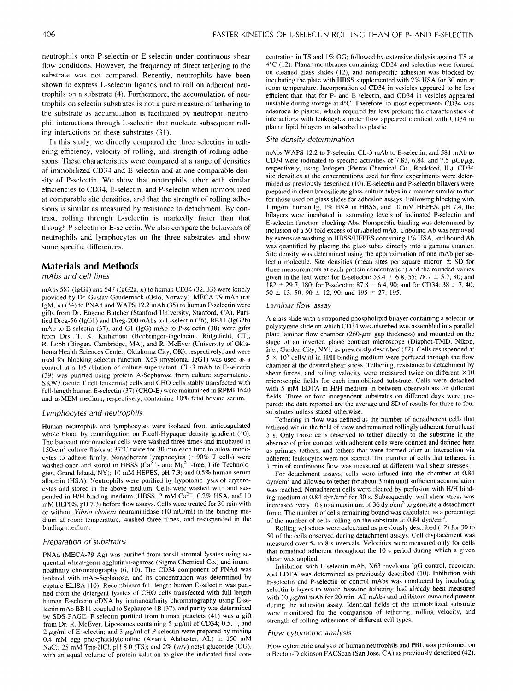neutrophils onto P-selectin or E-selectin under continuous shear flow conditions. However, the frequency of direct tethering to the substrate was not compared. Recently, neutrophils have been shown to express L-selectin ligands and to roll on adherent neutrophils on a substrate (4). Furthermore, the accumulation of neutrophils on selectin substrates is not a pure measure of tethering to the Substrate as accumulation is facilitated by neutrophil-neutrophi1 interactions through L-selectin that nucleate subsequent rolling interactions on these substrates (31).

In this study, we directly compared the three selectins in tethering efficiency, velocity of rolling, and strength of rolling adhesions. These characteristics were compared at a range of densities of immobilized CD34 and E-selectin and at one comparable density of P-selectin. We show that neutrophils tether with similar efficiencies to CD34, E-selectin, and P-selectin when immobilized at comparable site densities, and that the strength of rolling adhesions is similar as measured by resistance to detachment. By contrast, rolling through L-selectin is markedly faster than that through P-selectin or E-selectin. We also compare the behaviors of neutrophils and lymphocytes on the three substrates and show some specific diferences.

## **Materials and Methods**

#### *mAbs and cell lines*

mAbs 581 (IgG1) and 547 (IgG2a,  $\kappa$ ) to human CD34 (32, 33) were kindly provided by Dr. Gustav Gaudemack (Oslo, Norway). MECA-79 mAb (rat IgM,  $\kappa$ ) (34) to PNAd and WAPS 12.2 mAb (35) to human P-selectin were gifts from Dr. Eugene Butcher (Stanford University, Stanford, CA). Purified Dreg-56 (IgGI) and Dreg-200 mAbs to L-selectin (36). BBll (IgG2b) mAb to E-selectin (37), and GI (IgG) mAb to P-selectin (38) were gifts from Drs. T. **K.** Kishimoto (Boehringer-Ingelheim, Ridgefield, CT), R. Lobb (Biogen, Cambridge, MA), and R. McEver (University of Oklahoma Health Sciences Center, Oklahoma City, OK), respectively, and were used for blocking selectin function. X63 (myeloma, IgGI) was used as a control at a 1/5 dilution of culture supernatant, CL-3 mAb to E-selectin (39) was purified using protein A-Sepharose from culture supernatants. SKW3 (acute T cell leukemia) cells and CHO cells stably transfected with full-length human E-selectin (37) (CHO-E) were maintained in RPMI 1640 and  $\alpha$ -MEM medium, respectively, containing 10% fetal bovine serum.

#### *Lymphocytes and neutrophils*

Human neutrophils and lymphocytes were isolated from anticoagulated whole blood by centrifugation on Ficoll-Hypaque density gradient (40). The buoyant mononuclear cells were washed three times and incubated in 150-cm' culture flasks at 37°C twice for 30 min each time to allow monocytes to adhere firmly. Nonadherent lymphocytes  $(\sim90\%$  T cells) were washed once and stored in HBSS ( $Ca^{2+}$ - and Mg<sup>2+</sup>-free; Life Technologies, Grand Island, NY); IO mM HEPES, pH 7.3; and 0.5% human serum albumin (HSA). Neutrophils were purified by hypotonic lysis of erythrocytes and stored in the above medium. Cells were washed with and suspended in H/H binding medium (HBSS, 2 mM Ca<sup>2+</sup>, 0.2% HSA, and 10 mM HEPES, pH 7.3) before flow assays. Cells were treated for 30 min with or without *Vibrio cholera* neuraminidase (10 mU/ml) in the binding medium at room temperature, washed three times, and resuspended in the binding medium.

#### *Preparation of substrates*

PNAd (MECA-79 Ag) was purified from tonsil stromal lysates using sequential wheat-germ agglutinin-agarose (Sigma Chemical Co.) and immunoaffinity chromatography (6, 10). The CD34 component of PNAd was isolated with mAb-Sepharose, and its concentration was determined by capture ELlSA (10). Recombinant full-length human E-selectin was purified from the detergent lysates of CHO cells transfected with full-length human E-selectin cDNA by immunoaffinity chromatography using E-selectin mAb BBll coupled to Sepharose 4B (37). and purity was determined by SDS-PAGE. P-selectin purified from human platelets (41) was a gift from Dr. R. McEver. Liposomes containing 5  $\mu$ g/ml of CD34; 0.5, 1, and 2  $\mu$ g/ml of E-selectin; and 3  $\mu$ g/ml of P-selectin were prepared by mixing 0.4 mM egg phosphatidylcholine (Avanti, Alabaster, AL) in 150 mM NaCl; 25 mM Tris-HCl, pH 8.0 (TS); and 2% (w/v) octyl glucoside (OG), with an equal volume of protein solution to give the indicated final concentration in TS and 1% OG; followed by extensive dialysis against TS at 4°C (12). Planar membranes containing CD34 and selectins were formed on cleaned glass slides (12), and nonspecific adhesion was blocked by incubating the plate with HBSS supplemented with 2% HSA for 30 min at room temperature. Incorporation of CD34 in vesicles appeared to be less efficient than that for P- and E-selectin, and CD34 in vesicles appeared unstable during storage at 4°C. Therefore, in most experiments CD34 was adaorbed to plastic, which required far less protein; the characteristics of interactions with leukocytes under flow appeared identical with CD34 in planar lipid bilayers or adsorbed to plastic.

#### *Site density determination*

mAbs WAPS 12.2 to P-selectin, CL-3 mAb to E-selectin, and 581 mAb to CD34 were iodinated to specific activities of 7.83, 6.84, and 7.5  $\mu$ Ci/ $\mu$ g, respectively, using Iodogen (Pierce Chemical Co., Rockford, IL). CD34 site densities at the concentrations used for flow experiments were determined as previously described (10). E-selectin and P-selectin bilayers were prepared in clean borosilicate glass culture tubes in a manner similar to that for those used on glass slides for adhesion assays. Following blocking with 1 mg/ml human Ig, 1% HSA in HBSS, and 10 mM HEPES, pH 7.4, the bilayers were incubated in saturating levels of iodinated P-selectin and E-selectin function-blocking Abs. Nonspecific binding was determined by inclusion of a 50-fold excess of unlabeled mAb. Unbound Ab was removed by extensive washing in HBSSMEPES containing 1% HSA, and bound Ab was quantified by placing the glass tubes directly into a gamma counter. Site density was determined using the approximation of one mAb per selectin molecule. Site densities (mean sites per square micron  $\pm$  SD for three measurements at each protein concentration) and the rounded values given in the text were: for E-selectin:  $53.4 \pm 6.8$ ,  $55$ ;  $78.7 \pm 5.7$ ,  $80$ ; and 182  $\pm$  29.7, 180; for P-selectin: 87.8  $\pm$  6.4, 90; and for CD34: 38  $\pm$  7, 40;  $50 \pm 13$ ,  $50$ ;  $90 \pm 12$ ,  $90$ ; and  $195 \pm 27$ ,  $195$ .

#### *Laminar flow assay*

**A** glass slide with a supported phospholipid bilayer containing a selectin or polystyrene slide on which CD34 was adsorbed was assembled in a parallel plate laminar flow chamber (260- $\mu$ m gap thickness) and mounted on the stage of an inverted phase contrast microscope (Diaphot-TMD, Nikon, Inc., Garden City, NY), as previously described (12). Cells resuspended at  $5 \times 10^5$  cells/ml in H/H binding medium were perfused through the flow chamber at the desired shear stress. Tethering, resistance to detachment by shear forces, and rolling velocity were measured twice on different  $\times 10$ microscopic fields for each immobilized substrate. Cells were detached with 5 mM EDTA in H/H medium in between observations on different fields. Three or four independent substrates on different days were prepared; the data reported are the average and SD of results for three to four substrates unless stated otherwise.

Tethering in flow was defined as the number of nonadherent cells that tethered within the field of view and remained rollingly adherent for at least 5 **s.** Only those cells observed to tether directly to the substrate in the absence of prior contact with adherent cells were counted and defined here as primary tethers, and tethers that were formed after an interaction via adherent leukocytes were not scored. The number of cells that tethered in I min of continuous flow was measured at different wall shear stresses.

For detachment assays, cells were infused into the chamber at 0.84 dyn/cm2 and allowed to tether for about 3 min until sufficient accumulation was reached. Nonadherent cells were cleared by perfusion with WH binding medium at 0.84 dyn/cm2 for 30 **s.** Subsequently, wall shear stress was increased every 10 **s** to a maximum of 36 dyn/cm' to generate a detachment force. The number of cells remaining bound was calculated as a percentage of the number of cells rolling on the substrate at 0.84 dyn/cm<sup>2</sup>

Rolling velocities were calculated as previously described (12) for 30 *to*  50 of the cells observed during detachment assays. Cell displacement was measured over 5- to 8-s intervals. Velocities were measured only for cells that remained adherent throughout the 10-s period during which a given shear was applied.

Inhibition with L-selectin mAb, X63 myeloma IgG control, fucoidan, and EDTA was determined as previously described (10). Inhibition with E-selectin and P-selectin or control mAbs was conducted by incubating selectin bilayers to which baseline tethering had already been measured with 10  $\mu$ g/ml mAb for 20 min. All mAbs and inhibitors remained present during the adhesion assay. Identical fields of the immobilized substrate were monitored for the comparison of tethering, rolling velocity, and strength of rolling adhesions of different cell types.

#### *Flow cytometric analysis*

Flow cytometric analysis of human neutrophils and PBL was performed on a Becton-Dickinson FACScan (San Jose. CA) as previously described (42).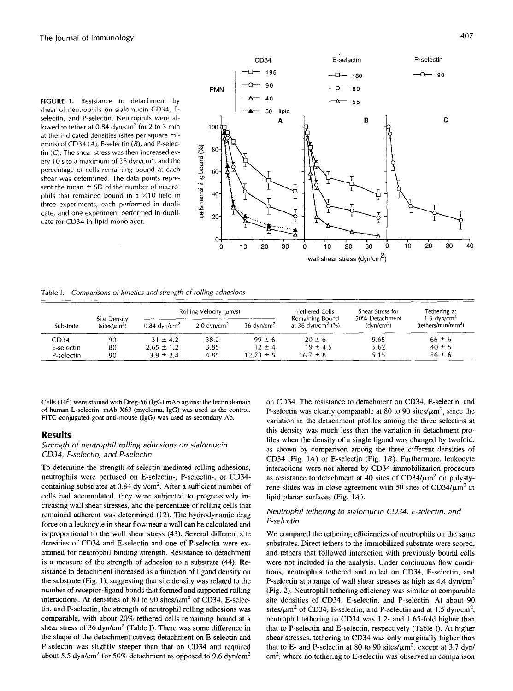**FIGURE 1.** Resistance to detachment by shear of neutrophils on sialomucin CD34, Eselectin, and P-selectin. Neutrophils were allowed to tether at 0.84 dyn/cm<sup>2</sup> for 2 to 3 min at the indicated densities (sites per square microns) of CD34 *(A),* E-selectin *(B),* and P-selectin *(C).* The shear stress was then increased every 10 s to a maximum of 36 dyn/cm<sup>2</sup>, and the percentage of cells remaining bound at each shear was determined. The data points represent the mean  $\pm$  SD of the number of neutrophils that remained bound in a  $\times$ 10 field in three experiments, each performed in duplicate, and one experiment performed in duplicate for CD34 in lipid monolayer.



Table I. Comparisons *of* kinetics *and* strength *of* rolling adhesions

| Substrate  | <b>Site Density</b><br>(sites/ $\mu$ m <sup>2</sup> ) | Rolling Velocity ( $\mu$ m/s) |                        |                        | Tethered Cells<br>Remaining Bound | Shear Stress for<br>50% Detachment | Tethering at<br>1.5 $dyn/cm2$ |
|------------|-------------------------------------------------------|-------------------------------|------------------------|------------------------|-----------------------------------|------------------------------------|-------------------------------|
|            |                                                       | $0.84$ dyn/cm <sup>2</sup>    | $2.0 \text{ dyn/cm}^2$ | 36 dyn/cm <sup>2</sup> | at 36 dyn/cm <sup>2</sup> (%)     | (dvn/cm <sup>2</sup> )             | $(tethers/min/mm^2)$          |
| CD34       | 90                                                    | $31 \pm 4.2$                  | 38.2                   | $99 \pm 6$             | $20 \pm 6$                        | 9.65                               | $66 \pm 6$                    |
| E-selectin | 80                                                    | $2.65 \pm 1.2$                | 3.85                   | $12 \pm 4$             | $19 \pm 4.5$                      | 5.62                               | $40 \pm 5$                    |
| P-selectin | 90                                                    | $3.9 \pm 2.4$                 | 4.85                   | $12.73 \pm 5$          | $16.7 \pm 8$                      | 5.15                               | $56 \pm 6$                    |

Cells **(IO')** were stained with Dreg-56 **(IgG)** mAb against the lectin domain of human L-selectin. mAb X63 (myeloma, IgG) was used as the control. FITC-conjugated goat anti-mouse (IgG) was used as secondary Ab.

#### **Results**

#### *Strength of neutrophil rolling adhesions on sialomucin CD34, E-selectin, and P-selectin*

To determine the strength of selectin-mediated rolling adhesions, neutrophils were perfused on E-selectin-, P-selectin-, or CD34 containing substrates at 0.84 dyn/cm<sup>2</sup>. After a sufficient number of cells had accumulated, they were subjected to progressively increasing wall shear stresses, and the percentage of rolling cells that remained adherent was determined (12). The hydrodynamic drag force on a leukocyte in shear flow near a wall can be calculated and is proportional to the wall shear stress (43). Several different site densities of CD34 and E-selectin and one of P-selectin were examined **for** neutrophil binding strength. Resistance to detachment is a measure of the strength of adhesion to a substrate (44). Resistance to detachment increased as a function of ligand density on the substrate (Fig. I), suggesting that site density was related to the number of receptor-ligand bonds that formed and supported rolling interactions. At densities of 80 to 90 sites/ $\mu$ m<sup>2</sup> of CD34, E-selectin, and P-selectin, the strength of neutrophil rolling adhesions was comparable, with about 20% tethered cells remaining bound at a shear stress of 36 dyn/cm2 (Table **I).** There was some difference in the shape of the detachment curves; detachment on E-selectin and P-selectin was slightly steeper than that on CD34 and required about 5.5 dyn/cm<sup>2</sup> for 50% detachment as opposed to 9.6 dyn/cm<sup>2</sup>

on CD34. The resistance to detachment on CD34, E-selectin, and P-selectin was clearly comparable at 80 to 90 sites/ $\mu$ m<sup>2</sup>, since the variation in the detachment profiles among the three selectins at this density was much less than the variation in detachment profiles when the density of a single ligand was changed by twofold, as shown by comparison among the three different densities of CD34 (Fig. 1A) or E-selectin (Fig. *1B).* Furthermore, leukocyte interactions were not altered by CD34 immobilization procedure as resistance to detachment at 40 sites of  $CD34/\mu m^2$  on polystyrene slides was in close agreement with 50 sites of  $CD34/\mu m^2$  in lipid planar surfaces (Fig. **IA).** 

## *Neutrophil tethering to sialomucin CD34, E-selectin, and P-selectin*

We compared the tethering efficiencies of neutrophils on the same substrates. Direct tethers to the immobilized substrate were scored, and tethers that followed interaction with previously bound cells were not included in the analysis. Under continuous flow conditions, neutrophils tethered and rolled on CD34, E-selectin, and P-selectin at a range of wall shear stresses as high as  $4.4 \text{ dyn/cm}^2$ (Fig. 2). Neutrophil tethering efficiency was similar at comparable site densities of CD34, E-selectin, and P-selectin. At about 90 sites/ $\mu$ m<sup>2</sup> of CD34, E-selectin, and P-selectin and at 1.5 dyn/cm<sup>2</sup>, neutrophil tethering to CD34 was 1.2- and 1.65-fold higher than that to P-selectin and E-selectin, respectively (Table I). At higher shear stresses, tethering to CD34 was only marginally higher than that to E- and P-selectin at 80 to 90 sites/ $\mu$ m<sup>2</sup>, except at 3.7 dyn/ cm2, where no tethering to E-selectin was observed in comparison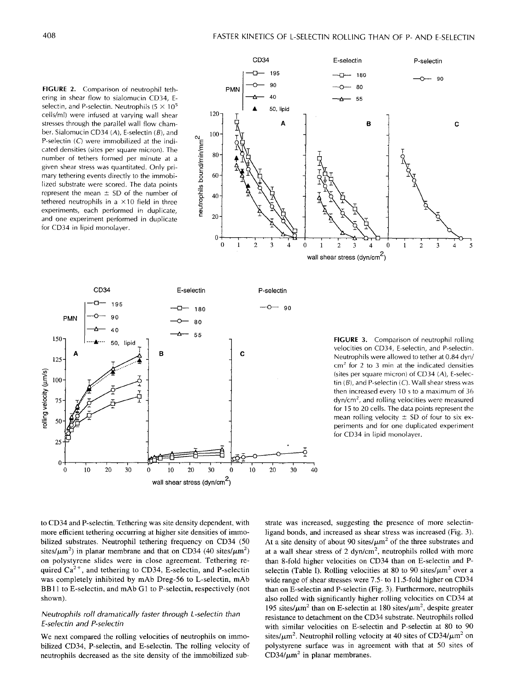**FIGURE 2.** Comparison of neutrophil tethering in shear flow to sialomucin CD34, Eselectin, and P-selectin. Neutrophils  $(5 \times 10^5$ cells/ml) were infused at varying wall shear stresses through the parallel wall flow chamber. Sialomucin CD34 *(A),* E-selectin *(B),* and P-selectin *(C)* were immobilized at the indicated densities (sites per square micron). The number of tethers formed per minute at a given shear stress was quantitated. Only primary tethering events directly to the immobilized substrate were scored. The data points represent the mean  $\pm$  SD of the number of tethered neutrophils in a  $\times$ 10 field in three experiments, each performed in duplicate, and one experiment performed in duplicate for CD34 in lipid monolayer.





**FIGURE 3.** Comparison of neutrophil rolling velocities on CD34, E-selectin, and P-selectin. Neutrophils were allowed to tether at 0.84 dyn/  $cm<sup>2</sup>$  for 2 to 3 min at the indicated densities (sites per square micron) of CD34 *(A),* E-selectin (B), and P-selectin (C). Wall shear stress was then increased every 10 s to a maximum of 36  $dyn/cm<sup>2</sup>$ , and rolling velocities were measured for 15 to 20 cells. The data points represent the mean rolling velocity  $\pm$  SD of four to six experiments and for one duplicated experiment for CD34 in lipid monolayer.

to CD34 and P-selectin. Tethering was site density dependent, with more efficient tethering occurring at higher site densities of immobilized substrates. Neutrophil tethering frequency on CD34 *(50*  sites/ $\mu$ m<sup>2</sup>) in planar membrane and that on CD34 (40 sites/ $\mu$ m<sup>2</sup>) on polystyrene slides were in close agreement. Tethering required  $Ca^{2+}$ , and tethering to CD34, E-selectin, and P-selectin was completely inhibited by mAb Dreg-56 to L-selectin, mAb BB11 to E-selectin, and mAb G1 to P-selectin, respectively (not shown).

### *Neutrophils roll dramatically faster through L-selectin than E-selectin and P-selectin*

We next compared the rolling velocities **of** neutrophils on immobilized CD34, P-selectin, and E-selectin. The rolling velocity of neutrophils decreased as the site density **of** the immobilized substrate was increased, suggesting the presence of more selectinligand bonds, and increased as shear stress was increased (Fig. 3). At a site density of about 90 sites/ $\mu$ m<sup>2</sup> of the three substrates and at a wall shear stress of 2 dyn/cm<sup>2</sup>, neutrophils rolled with more than 8-fold higher velocities on CD34 than on E-selectin and Pselectin (Table I). Rolling velocities at 80 to 90 sites/ $\mu$ m<sup>2</sup> over a wide range of shear stresses were 7.5- to 11.5-fold higher on CD34 than on E-selectin and P-selectin (Fig. 3). Furthermore, neutrophils also rolled with significantly higher rolling velocities on CD34 at 195 sites/ $\mu$ m<sup>2</sup> than on E-selectin at 180 sites/ $\mu$ m<sup>2</sup>, despite greater resistance to detachment on the CD34 substrate. Neutrophils rolled with similar velocities on E-selectin and P-selectin at 80 to 90 sites/ $\mu$ m<sup>2</sup>. Neutrophil rolling velocity at 40 sites of CD34/ $\mu$ m<sup>2</sup> on polystyrene surface was in agreement with that at *50* sites of CD34/ $\mu$ m<sup>2</sup> in planar membranes.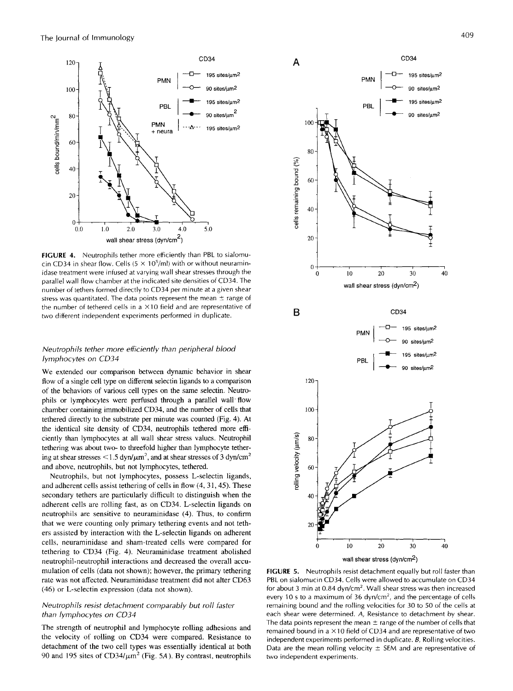

**FIGURE 4.** Neutrophils tether more efficiently than PBL to sialomucin CD34 in shear flow. Cells (5  $\times$  10<sup>5</sup>/ml) with or without neuraminidase treatment were infused at varying wall shear stresses through the parallel wall flow chamber at the indicated site densities of CD34. The number of tethers formed directly to CD34 per minute at a given shear stress was quantitated. The data points represent the mean  $\pm$  range of the number of tethered cells in a X10 field and are representative of two different independent experiments performed in duplicate.

## *Neutrophils tether more efficiently than peripheral blood lymphocytes on CD34*

We extended our comparison between dynamic behavior in shear flow of a single cell type on different selectin ligands to a comparison of the behaviors of various cell types on the same selectin. Neutrophils or lymphocytes were perfused through a parallel wall flow chamber containing immobilized CD34, and the number of cells that tethered directly to the substrate per minute was counted (Fig. 4). At the identical site density of CD34, neutrophils tethered more efficiently than lymphocytes at all wall shear stress values. Neutrophil tethering was about two- to threefold higher than lymphocyte tethering at shear stresses  $\leq 1.5 \text{ dyn/m}^2$ , and at shear stresses of 3 dyn/cm<sup>2</sup> and above, neutrophils, but not lymphocytes, tethered.

Neutrophils, but not lymphocytes, possess L-selectin ligands, and adherent cells assist tethering of cells in flow  $(4, 31, 45)$ . These secondary tethers are particularly difficult to distinguish when the adherent cells are rolling fast, as on CD34. L-selectin ligands on neutrophils are sensitive to neuraminidase (4). Thus, to confirm that we were counting only primary tethering events and not tethers assisted by interaction with the L-selectin ligands on adherent cells, neuraminidase and sham-treated cells were compared for tethering to CD34 (Fig. 4). Neuraminidase treatment abolished neutrophil-neutrophil interactions and decreased the overall accumulation of cells (data not shown); however, the primary tethering rate was not affected. Neuraminidase treatment did not alter CD63 (46) or L-selectin expression (data not shown).

## *Neutrophils resist detachment Comparably but roll faster than lymphocytes on CD34*

The strength of neutrophil and lymphocyte rolling adhesions and the velocity of rolling on CD34 were compared. Resistance to detachment of the two cell types was essentially identical at both 90 and 195 sites of  $CD34/\mu m^2$  (Fig. 5A). By contrast, neutrophils



wall shear stress (dyn/cm2)

**FIGURE 5.** Neutrophils resist detachment equally but roll faster than PBL on sialomucin CD34. Cells were allowed to accumulate on CD34 for about 3 min at 0.84 dyn/cm<sup>2</sup>. Wall shear stress was then increased every 10 s to a maximum **of** 36 dyn/cm2, and the percentage of cells remaining bound and the rolling velocities for 30 to 50 of the cells at each shear were determined. *A,* Resistance to detachment by shear. The data points represent the mean  $\pm$  range of the number of cells that remained bound in a  $\times$ 10 field of CD34 and are representative of two independent experiments performed in duplicate. *B,* Rolling velocities. Data are the mean rolling velocity  $\pm$  SEM and are representative of two independent experiments.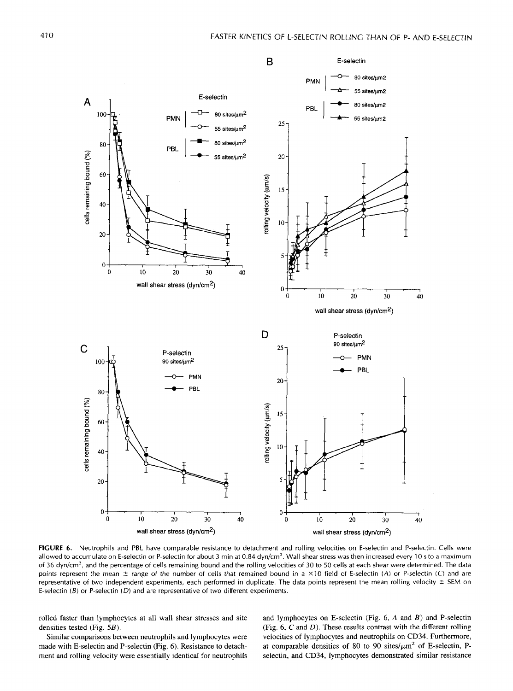

**FIGURE** *6.* Neutrophils and PBL have comparable resistance to detachment and rolling velocities on E-selectin and P-selectin. Cells were allowed to accumulate on E-selectin or P-selectin for about 3 min at 0.84 dyn/cm<sup>2</sup>. Wall shear stress was then increased every 10 s to a maximum of 36 dyn/cm<sup>2</sup>, and the percentage of cells remaining bound and the rolling velocities of 30 to 50 cells at each shear were determined. The data points represent the mean *2* range of the number *of* cells that remained bound in a x10 field of E-selectin *(A)* or P-selectin (C) and are representative of two independent experiments, each performed in duplicate. The data points represent the mean rolling velocity *2* SEM on E-selectin *(B)* or P-selectin *(0)* and are representative of two different experiments.

made with E-selectin and P-selectin (Fig. 6). Resistance to detach-

rolled faster than lymphocytes at all wall shear stresses and site and lymphocytes on E-selectin (Fig. 6, **A** and *B)* and P-selectin densities tested (Fig. *5B).* (Fig. 6, *C* and *D).* These results contrast with the different rolling Similar comparisons between neutrophils and lymphocytes were velocities of lymphocytes and neutrophils on CD34. Furthermore, and p-selectin (Fig. 6). Resistance to detach-<br>at comparable densities of 80 to 90 sites/ $\mu$ m<sup>2</sup> ment and rolling velocity were essentially identical for neutrophils selectin, and **CD34,** lymphocytes demonstrated similar resistance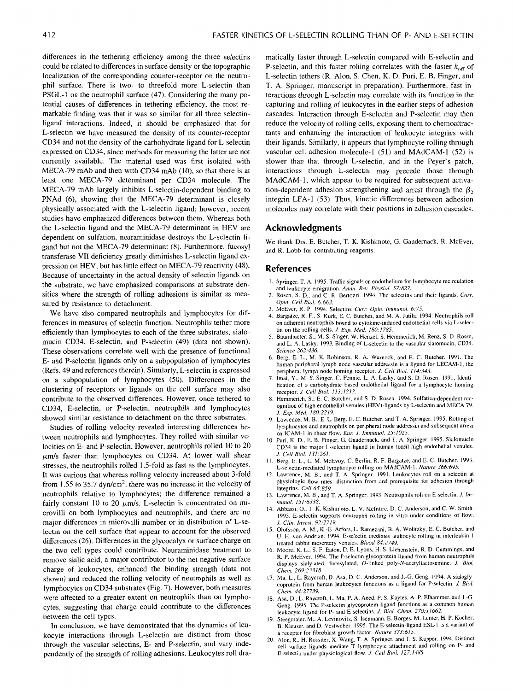differences in the tethering efficiency among the three selectins could be related to differences in surface density or the topographic localization of the corresponding counter-receptor on the neutrophil surface. There is two- to threefold more L-selectin than PSGL-1 on the neutrophil surface (47). Considering the many **po**tential causes of differences in tethering efficiency, the most remarkable finding was that it was **so** similar for all three selectinligand interactions. Indeed, it should be emphasized that for L-selectin we have measured the density of its counter-receptor CD34 and not the density of the carbohydrate ligand for L-selectin expressed on CD34, since methods for measuring the latter are not currently available. The material used was first isolated with MECA-79 mAb and then with CD34 mAb (IO), so that there is at least one MECA-79 determinant per CD34 molecule. The MECA-79 mAb largely inhibits L-selectin-dependent binding to PNAd (6), showing that the MECA-79 determinant is closely physically associated with the L-selectin ligand; however, recent studies have emphasized differences between them. Whereas both the L-selectin ligand and the MECA-79 determinant in HEV are dependent on sulfation, neuraminidase destroys the L-selectin ligand but not the MECA-79 determinant (8). Furthermore, fucosyl transferase VI1 deficiency greatly diminishes L-selectin ligand expression on HEV, but has little effect on MECA-79 reactivity (48). Because of uncertainty in the actual density of selectin ligands on the substrate, we have emphasized comparisons at substrate densities where the strength of rolling adhesions is similar as measured by resistance to detachment.

We have also compared neutrophils and lymphocytes for differences in measures of selectin function. Neutrophils tether more efficiently than lymphocytes to each of the three substrates, sialomucin CD34, E-selectin, and P-selectin (49) (data not shown). These observations correlate well with the presence of functional E- and P-selectin ligands only on a subpopulation of lymphocytes (Refs. 49 and references therein). Similarly, L-selectin is expressed on a subpopulation of lymphocytes (50). Differences in the clustering of receptors or ligands on the cell surface may also contribute to the observed differences. However, once tethered to CD34, E-selectin, or P-selectin, neutrophils and lymphocytes showed similar resistance to detachment on the three substrates.

Studies of rolling velocity revealed interesting differences between neutrophils and lymphocytes. They rolled with similar velocities on E- and P-selectin. However, neutrophils rolled IO to 20 *pm/s* faster than lymphocytes on CD34. At lower wall shear stresses, the neutrophils rolled 1 .5-fold as fast as the lymphocytes. It was curious that whereas rolling velocity increased about 3-fold from 1.55 to 35.7 dyn/cm<sup>2</sup>, there was no increase in the velocity of neutrophils relative to lymphocytes; the difference remained a fairly constant 10 to 20  $\mu$ m/s. L-selectin is concentrated on microvilli on both lymphocytes and neutrophils, and there are no major differences in microvilli number or in distribution of L-selectin on the cell surface that appear to account for the observed differences (26). Differences in the glycocalyx or surface charge on the two cell types could contribute. Neuraminidase treatment to remove sialic acid, a major contributor to the net negative surface charge of leukocytes, enhanced the binding strength (data not shown) and reduced the rolling velocity of neutrophils as well as lymphocytes on CD34 substrates (Fig. 7). However, both measures were affected to a greater extent on neutrophils than on lymphocytes, suggesting that charge could contribute to the differences between the cell types.

In conclusion, we have demonstrated that the dynamics of leukocyte interactions through L-selectin are distinct from those through the vascular selectins, E- and P-selectin, and vary independently of the strength of rolling adhesions. Leukocytes roll dramatically faster through L-selectin compared with E-selectin and P-selectin, and this faster rolling correlates with the faster  $k_{\text{off}}$  of L-selectin tethers (R. Alon, S. Chen, K. D. Puri, E. B. Finger, and T. **A.** Springer, manuscript in preparation). Furthermore, fast interactions through L-selectin may correlate with its function in the capturing and rolling of leukocytes in the earlier steps of adhesion cascades. Interaction through E-selectin and P-selectin may then reduce the velocity of rolling cells, exposing them to chemoattractants and enhancing the interaction of leukocyte integrins with their ligands. Similarly, it appears that lymphocyte rolling through vascular cell adhesion molecule-1 (51) and MAdCAM-I (52) is slower than that through L-selectin, and in the Peyer's patch, interactions through L-selectin may precede those through MAdCAM-I, which appear to be required for subsequent activation-dependent adhesion strengthening and arrest through the  $\beta_2$ integrin LFA-I (53). Thus, kinetic differences between adhesion molecules may correlate with their positions in adhesion cascades.

#### **Acknowledgments**

We thank **Drs.** E. Butcher, T. K. Kishimoto, G. Gauderneck. **R.** McEver. and R. Lobb for contributing reagents.

#### **References**

- **1.** Springer, T. A. **1995.** Traffic signals on endothelium for lymphocyte recirculation and leukocyte emigration. Annu. Rev. Physiol. 57:827.
- 2. Rosen, S. D., and C. R. Bertozzi. 1994. The selectins and their ligands. *Crrrr. Opin. Cell Biol. 6:663.*
- 3. McEver, R. P. 1954. Selectins. *Curr. Opin. Itnntrtnnl. 6:75.*
- 4. Bargatze, R. **F.,** *S.* Kurk, E. C. Butcher, and M. A. Jutila. 1994. Neutrophils roll on adherent neutrophils bound to cytokine-induced endothelial cells via L-5electin on the rolling cells. *J. Exp. Med. 180:1785.*
- 5. Baunihueter, *S.,* M. *S.* Singer, **W.** Henzel, *S.* Hemmerich, M. Renz. *S.* D. Rosen. and L. A. Lasky. 1993. Binding of L-selectin to the vascular sialomucin, CD34. *Science 262:436.*
- 6. Berg. E. L.. M. K. Robinson, R. A. Warnock. and E. C. Butcher. **1991.** The human peripheral lymph node vascular addressin is a ligand for LECAM-1, the peripheral lymph node homing receptor. *J. Cell Biol. 114:343.*
- *7.* Imai, Y., M. *S.* Singer, C. Fennie. L. A. Lasky. and S. D. Rosen. 1991. Identification of a carbohydrate based endothelial ligand for a lymphocyte homing receptor. *J. Cell* Bioi. *113:1213.*
- 8. Hemmerich, S., E. C. Butcher, and *S. D. Rosen.* 1994. Sulfation-dependent recognition of hlgh endothelial venules (HEV)-ligands by L-selectin and MECA 79. *J. Exp. Med. 180,2219.*
- 9. Lawrence, M. B.. E. L. Berg. E. C. Butcher, and T. A. Springer. 1995. Rolling of lymphocytes and neutrophils on peripheral node addressin and subsequent arrest on ICAM-I in shear flow. *Eur. J. Imrnunol. 25:1025.*
- IO. Puri, K. D.. E. B. Finger, G. Gaudernack, and T. **A.** Springer. 1595. Sinlomucin CD34 is the major L-selectin ligand in human tonsil high endothelial venules. .I. *Cell Bid. 131:26/.*
- **11.** Berg, E. L., L. M. McEvoy. C. Berlin, R. F. Bargatze, and E. C. Butcher. 1993. L-selectin-mediated lymphocyte rolllng on MAdCAM-I. *Nurure 366:695.*
- 12. Lawrence, M. B., and T. **A.** Springer. **1991.** Leukocytes roll on a selectin at physiologic **flow** rates: distinction from and prerequisite for adhesion through integrins. *Cell 65:859.*
- 13. Lawrence, M. B., and T. A. Springer. 1993. Neutrophils roll on E-selectin. *J. Imrnurml. 15/:6338.*
- 14. Abbassi, O., T. K. Kishimoto. L. V. Mclntire, D. C. Anderson, and C. W. Smith. 1993. E-selectin supports neutrophil rolling in vitro under conditions of flow. *J. Clin. Im~sf. 92:2719.*
- 15. Olofsson, A. M., K.-E. Arfors, L. Ramezani, B. A. Wolitzky, E. C. Butcher, and U. H. von Andrian. 1994. E-selectin mediates leukocyte rolling in interleukin-1 treated rabbit mesentery venules. *Blood 84:2749.*
- 16. Moore, K. L.. *S.* F. Eaton, D. E. Lyons, H. *S.* Lichenstein, R. D. Cummings, and R. P. McEver. 1994. The P-selectin glycoprotein ligand from human neutrophils displays sialylated, fucosylated, O-linked poly-N-acetyllactosamine. *J. Biol. Chrm. 269:23318.*
- 17. Ma. L., L. Raycroft, D. Asa. D. C. Anderson. and J:G. Geng. 1994. A siaiogiycoprotein from human leukocytes functions as a ligand for P-selectin. *J. Biol. Chem. 44:27739.*
- **18.** Asa. D., L. Raycroft, **L.** Ma. P. A. Aeed. P. *S.* Kaytes. A. P. Elhammer. and J:G. Geng. 1995. The P-selectin glycoprotein ligand functions as a common human leukocyte ligand for P- and E-selectins. *J. Biol. Chem. 270:11662*.
- 19. Steegmaier. M.. **A.** Levinovitz, *S.* Isenmann. E. Borges. M. Lenter. H. P. Kocher. 8. Kleuser. and D. Vestweber. **1995.** The E-selectin-ligand ESL-I is a variant Of a receptor for fibroblast growth factor. *Nuture 373:615.*
- *20.* Alon, R.. H. Rosslter. **X.** Wang, T. **A** Springer, and T. *S.* Kupper. 1994. Distinct cell surface ligands mediate T lymphocyte attachment and rolling on P- and E-selectin under physiological flow. *J Cell Bid. 127:1485.*